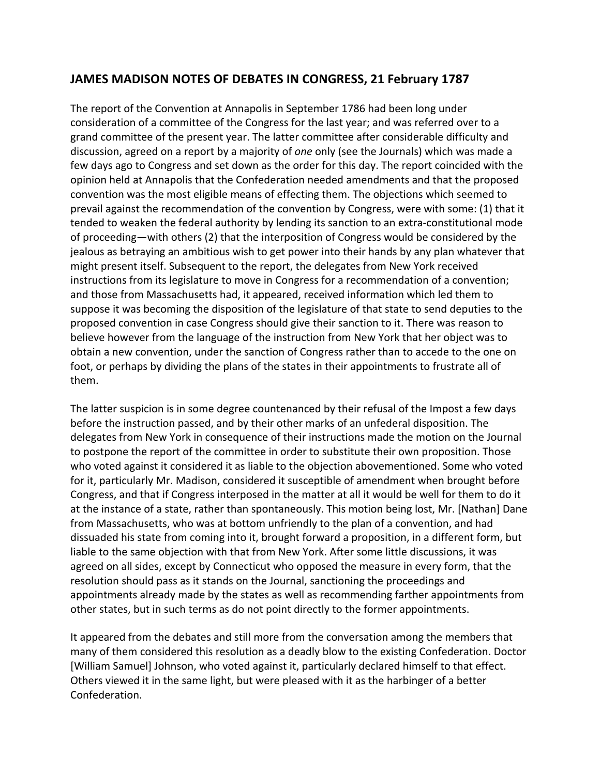## **JAMES MADISON NOTES OF DEBATES IN CONGRESS, 21 February 1787**

The report of the Convention at Annapolis in September 1786 had been long under consideration of a committee of the Congress for the last year; and was referred over to a grand committee of the present year. The latter committee after considerable difficulty and discussion, agreed on a report by a majority of *one* only (see the Journals) which was made a few days ago to Congress and set down as the order for this day. The report coincided with the opinion held at Annapolis that the Confederation needed amendments and that the proposed convention was the most eligible means of effecting them. The objections which seemed to prevail against the recommendation of the convention by Congress, were with some: (1) that it tended to weaken the federal authority by lending its sanction to an extra-constitutional mode of proceeding—with others (2) that the interposition of Congress would be considered by the jealous as betraying an ambitious wish to get power into their hands by any plan whatever that might present itself. Subsequent to the report, the delegates from New York received instructions from its legislature to move in Congress for a recommendation of a convention; and those from Massachusetts had, it appeared, received information which led them to suppose it was becoming the disposition of the legislature of that state to send deputies to the proposed convention in case Congress should give their sanction to it. There was reason to believe however from the language of the instruction from New York that her object was to obtain a new convention, under the sanction of Congress rather than to accede to the one on foot, or perhaps by dividing the plans of the states in their appointments to frustrate all of them.

The latter suspicion is in some degree countenanced by their refusal of the Impost a few days before the instruction passed, and by their other marks of an unfederal disposition. The delegates from New York in consequence of their instructions made the motion on the Journal to postpone the report of the committee in order to substitute their own proposition. Those who voted against it considered it as liable to the objection abovementioned. Some who voted for it, particularly Mr. Madison, considered it susceptible of amendment when brought before Congress, and that if Congress interposed in the matter at all it would be well for them to do it at the instance of a state, rather than spontaneously. This motion being lost, Mr. [Nathan] Dane from Massachusetts, who was at bottom unfriendly to the plan of a convention, and had dissuaded his state from coming into it, brought forward a proposition, in a different form, but liable to the same objection with that from New York. After some little discussions, it was agreed on all sides, except by Connecticut who opposed the measure in every form, that the resolution should pass as it stands on the Journal, sanctioning the proceedings and appointments already made by the states as well as recommending farther appointments from other states, but in such terms as do not point directly to the former appointments.

It appeared from the debates and still more from the conversation among the members that many of them considered this resolution as a deadly blow to the existing Confederation. Doctor [William Samuel] Johnson, who voted against it, particularly declared himself to that effect. Others viewed it in the same light, but were pleased with it as the harbinger of a better Confederation.